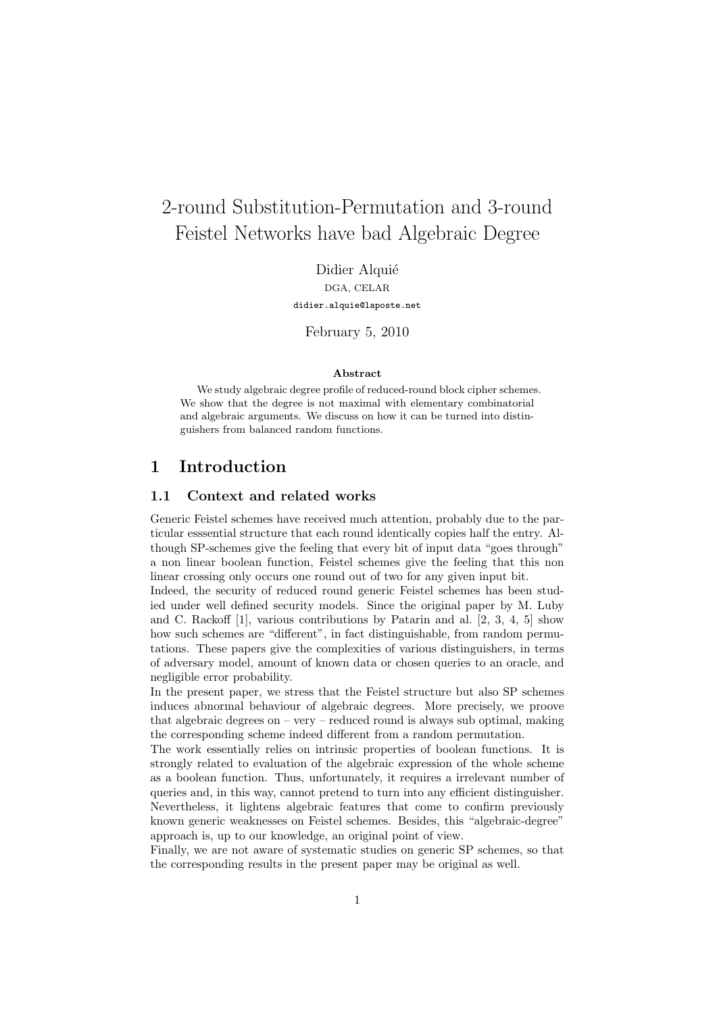# 2-round Substitution-Permutation and 3-round Feistel Networks have bad Algebraic Degree

Didier Alquié DGA, CELAR

didier.alquie@laposte.net

February 5, 2010

#### Abstract

We study algebraic degree profile of reduced-round block cipher schemes. We show that the degree is not maximal with elementary combinatorial and algebraic arguments. We discuss on how it can be turned into distinguishers from balanced random functions.

# 1 Introduction

### 1.1 Context and related works

Generic Feistel schemes have received much attention, probably due to the particular esssential structure that each round identically copies half the entry. Although SP-schemes give the feeling that every bit of input data "goes through" a non linear boolean function, Feistel schemes give the feeling that this non linear crossing only occurs one round out of two for any given input bit.

Indeed, the security of reduced round generic Feistel schemes has been studied under well defined security models. Since the original paper by M. Luby and C. Rackoff [1], various contributions by Patarin and al. [2, 3, 4, 5] show how such schemes are "different", in fact distinguishable, from random permutations. These papers give the complexities of various distinguishers, in terms of adversary model, amount of known data or chosen queries to an oracle, and negligible error probability.

In the present paper, we stress that the Feistel structure but also SP schemes induces abnormal behaviour of algebraic degrees. More precisely, we proove that algebraic degrees on – very – reduced round is always sub optimal, making the corresponding scheme indeed different from a random permutation.

The work essentially relies on intrinsic properties of boolean functions. It is strongly related to evaluation of the algebraic expression of the whole scheme as a boolean function. Thus, unfortunately, it requires a irrelevant number of queries and, in this way, cannot pretend to turn into any efficient distinguisher. Nevertheless, it lightens algebraic features that come to confirm previously known generic weaknesses on Feistel schemes. Besides, this "algebraic-degree" approach is, up to our knowledge, an original point of view.

Finally, we are not aware of systematic studies on generic SP schemes, so that the corresponding results in the present paper may be original as well.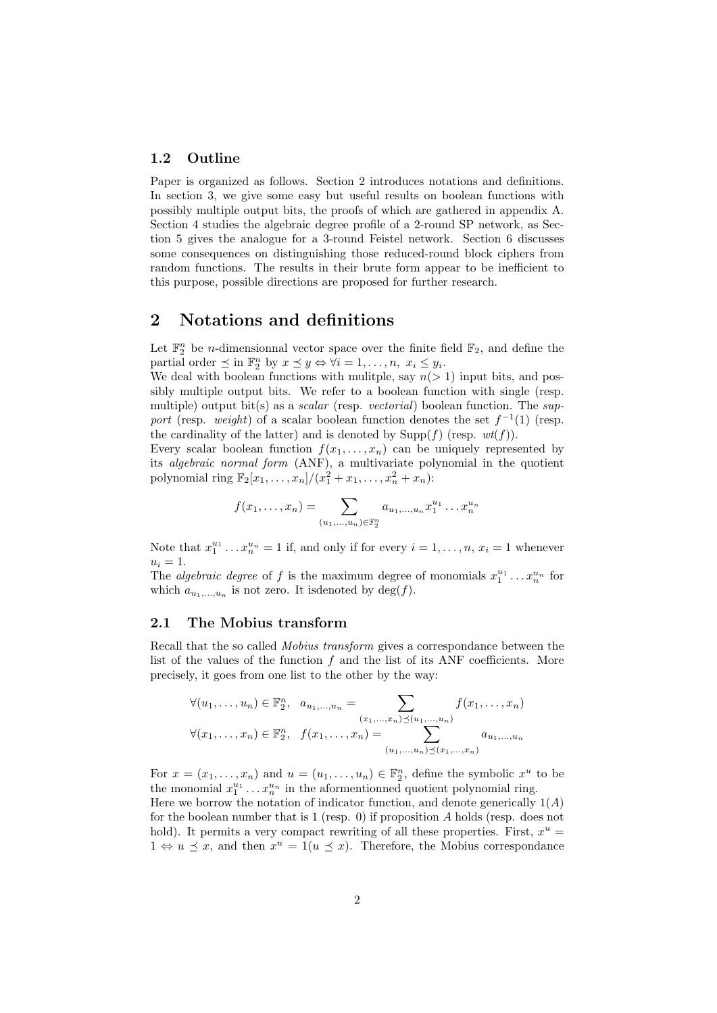#### 1.2 Outline

Paper is organized as follows. Section 2 introduces notations and definitions. In section 3, we give some easy but useful results on boolean functions with possibly multiple output bits, the proofs of which are gathered in appendix A. Section 4 studies the algebraic degree profile of a 2-round SP network, as Section 5 gives the analogue for a 3-round Feistel network. Section 6 discusses some consequences on distinguishing those reduced-round block ciphers from random functions. The results in their brute form appear to be inefficient to this purpose, possible directions are proposed for further research.

# 2 Notations and definitions

Let  $\mathbb{F}_2^n$  be *n*-dimensionnal vector space over the finite field  $\mathbb{F}_2$ , and define the partial order  $\preceq$  in  $\mathbb{F}_2^n$  by  $x \preceq y \Leftrightarrow \forall i = 1, \ldots, n, x_i \leq y_i$ .

We deal with boolean functions with mulitple, say  $n(> 1)$  input bits, and possibly multiple output bits. We refer to a boolean function with single (resp. multiple) output bit(s) as a *scalar* (resp. *vectorial*) boolean function. The *sup*port (resp. weight) of a scalar boolean function denotes the set  $f^{-1}(1)$  (resp. the cardinality of the latter) and is denoted by  $\text{Supp}(f)$  (resp.  $wt(f)$ ).

Every scalar boolean function  $f(x_1, \ldots, x_n)$  can be uniquely represented by its algebraic normal form (ANF), a multivariate polynomial in the quotient polynomial ring  $\mathbb{F}_2[x_1, \ldots, x_n]/(x_1^2 + x_1, \ldots, x_n^2 + x_n)$ :

$$
f(x_1,...,x_n) = \sum_{(u_1,...,u_n) \in \mathbb{F}_2^n} a_{u_1,...,u_n} x_1^{u_1} ... x_n^{u_n}
$$

Note that  $x_1^{u_1} \dots x_n^{u_n} = 1$  if, and only if for every  $i = 1, \dots, n$ ,  $x_i = 1$  whenever  $u_i = 1$ .

The *algebraic degree* of f is the maximum degree of monomials  $x_1^{u_1} \dots x_n^{u_n}$  for which  $a_{u_1,...,u_n}$  is not zero. It is denoted by  $\deg(f)$ .

#### 2.1 The Mobius transform

Recall that the so called Mobius transform gives a correspondance between the list of the values of the function  $f$  and the list of its ANF coefficients. More precisely, it goes from one list to the other by the way:

$$
\forall (u_1, \ldots, u_n) \in \mathbb{F}_2^n, \quad a_{u_1, \ldots, u_n} = \sum_{\substack{(x_1, \ldots, x_n) \preceq (u_1, \ldots, u_n) \\ \vdots \\ (u_1, \ldots, u_n) \preceq (x_1, \ldots, x_n)}} f(x_1, \ldots, x_n)
$$

$$
\forall (x_1, \ldots, x_n) \in \mathbb{F}_2^n, \quad f(x_1, \ldots, x_n) = \sum_{\substack{(u_1, \ldots, u_n) \preceq (x_1, \ldots, x_n)}} a_{u_1, \ldots, u_n}
$$

For  $x = (x_1, \ldots, x_n)$  and  $u = (u_1, \ldots, u_n) \in \mathbb{F}_2^n$ , define the symbolic  $x^u$  to be the monomial  $x_1^{u_1} \ldots x_n^{u_n}$  in the aformentionned quotient polynomial ring. Here we borrow the notation of indicator function, and denote generically  $1(A)$ for the boolean number that is 1 (resp. 0) if proposition A holds (resp. does not

hold). It permits a very compact rewriting of all these properties. First,  $x^u =$  $1 \Leftrightarrow u \preceq x$ , and then  $x^u = 1(u \preceq x)$ . Therefore, the Mobius correspondance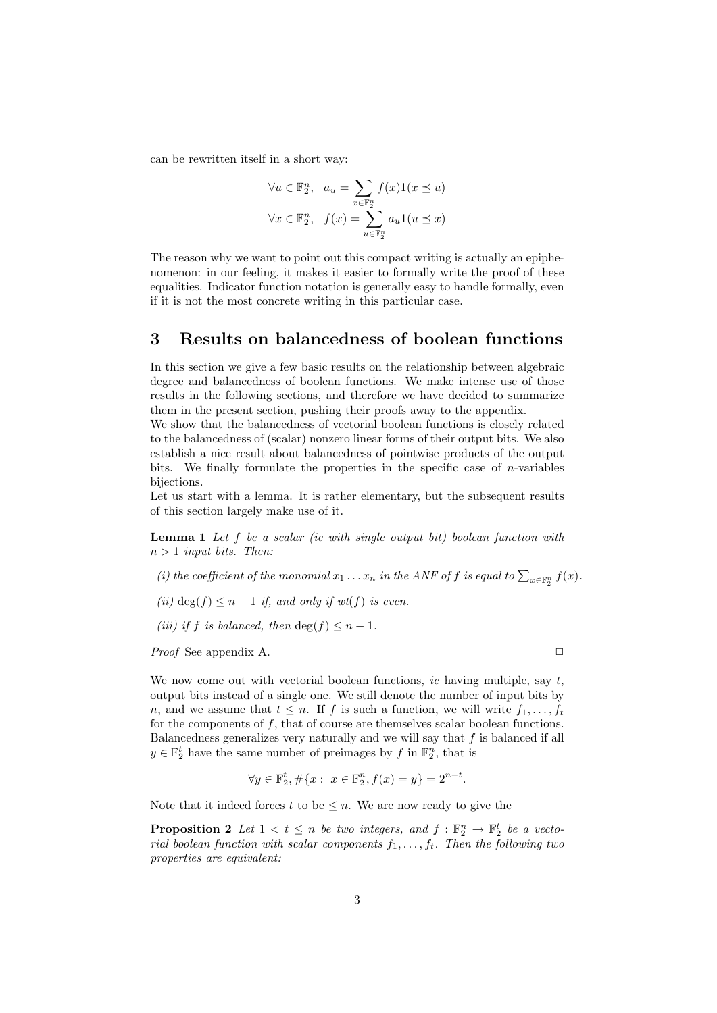can be rewritten itself in a short way:

$$
\forall u \in \mathbb{F}_2^n, \quad a_u = \sum_{x \in \mathbb{F}_2^n} f(x)1(x \le u)
$$

$$
\forall x \in \mathbb{F}_2^n, \quad f(x) = \sum_{u \in \mathbb{F}_2^n} a_u 1(u \le x)
$$

The reason why we want to point out this compact writing is actually an epiphenomenon: in our feeling, it makes it easier to formally write the proof of these equalities. Indicator function notation is generally easy to handle formally, even if it is not the most concrete writing in this particular case.

# 3 Results on balancedness of boolean functions

In this section we give a few basic results on the relationship between algebraic degree and balancedness of boolean functions. We make intense use of those results in the following sections, and therefore we have decided to summarize them in the present section, pushing their proofs away to the appendix.

We show that the balancedness of vectorial boolean functions is closely related to the balancedness of (scalar) nonzero linear forms of their output bits. We also establish a nice result about balancedness of pointwise products of the output bits. We finally formulate the properties in the specific case of  $n$ -variables bijections.

Let us start with a lemma. It is rather elementary, but the subsequent results of this section largely make use of it.

**Lemma 1** Let  $f$  be a scalar (ie with single output bit) boolean function with  $n > 1$  input bits. Then:

- (i) the coefficient of the monomial  $x_1 \ldots x_n$  in the ANF of f is equal to  $\sum_{x \in \mathbb{F}_2^n} f(x)$ .
- (ii) deg(f)  $\leq n-1$  if, and only if wt(f) is even.
- (iii) if f is balanced, then  $\deg(f) \leq n-1$ .

*Proof* See appendix A.  $\Box$ 

We now come out with vectorial boolean functions, ie having multiple, say  $t$ , output bits instead of a single one. We still denote the number of input bits by n, and we assume that  $t \leq n$ . If f is such a function, we will write  $f_1, \ldots, f_t$ for the components of  $f$ , that of course are themselves scalar boolean functions. Balancedness generalizes very naturally and we will say that f is balanced if all  $y \in \mathbb{F}_2^t$  have the same number of preimages by f in  $\mathbb{F}_2^n$ , that is

$$
\forall y \in \mathbb{F}_2^t, \#\{x : x \in \mathbb{F}_2^n, f(x) = y\} = 2^{n-t}.
$$

Note that it indeed forces t to be  $\leq n$ . We are now ready to give the

**Proposition 2** Let  $1 < t \leq n$  be two integers, and  $f : \mathbb{F}_2^n \to \mathbb{F}_2^t$  be a vectorial boolean function with scalar components  $f_1, \ldots, f_t$ . Then the following two properties are equivalent: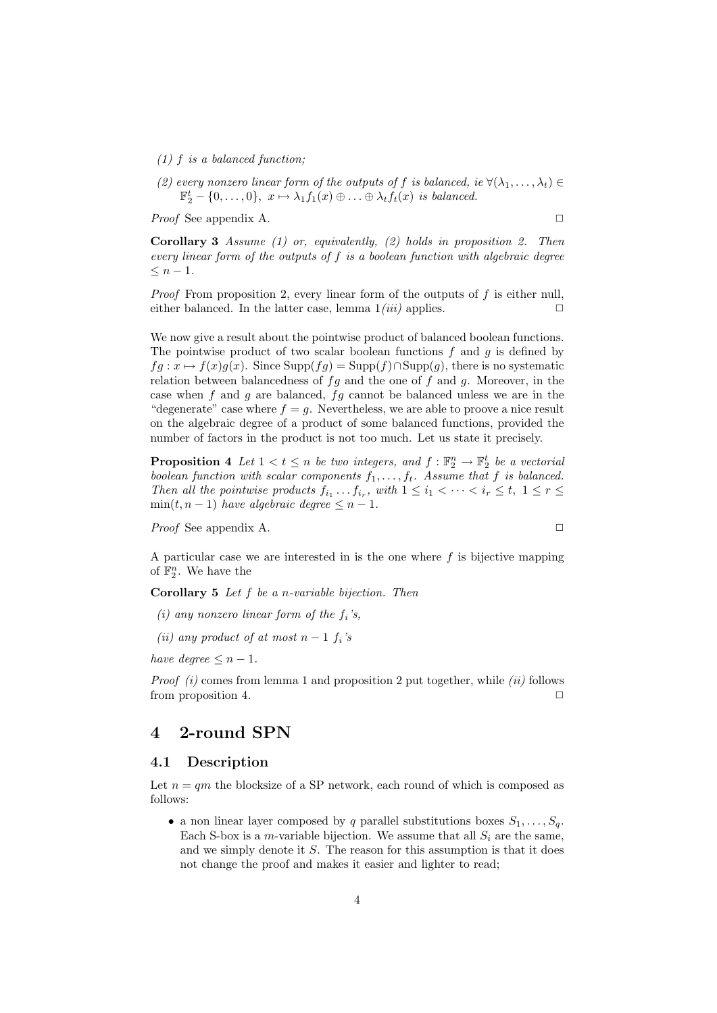- (1) f is a balanced function;
- (2) every nonzero linear form of the outputs of f is balanced, ie  $\forall (\lambda_1, \ldots, \lambda_t) \in$  $\mathbb{F}_2^t - \{0, \ldots, 0\}, \ x \mapsto \lambda_1 f_1(x) \oplus \ldots \oplus \lambda_t f_t(x) \ \text{is balanced.}$

*Proof* See appendix A.  $\Box$ 

**Corollary 3** Assume (1) or, equivalently, (2) holds in proposition 2. Then every linear form of the outputs of f is a boolean function with algebraic degree  $\leq n-1$ .

*Proof* From proposition 2, every linear form of the outputs of  $f$  is either null, either balanced. In the latter case, lemma  $1(iii)$  applies.  $\Box$ 

We now give a result about the pointwise product of balanced boolean functions. The pointwise product of two scalar boolean functions  $f$  and  $q$  is defined by  $fg: x \mapsto f(x)g(x)$ . Since Supp $(fg) = \text{Supp}(f) \cap \text{Supp}(g)$ , there is no systematic relation between balancedness of  $fg$  and the one of  $f$  and  $g$ . Moreover, in the case when  $f$  and  $g$  are balanced,  $fg$  cannot be balanced unless we are in the "degenerate" case where  $f = g$ . Nevertheless, we are able to proove a nice result on the algebraic degree of a product of some balanced functions, provided the number of factors in the product is not too much. Let us state it precisely.

**Proposition 4** Let  $1 < t \leq n$  be two integers, and  $f : \mathbb{F}_2^n \to \mathbb{F}_2^t$  be a vectorial boolean function with scalar components  $f_1, \ldots, f_t$ . Assume that f is balanced. Then all the pointwise products  $f_{i_1} \ldots f_{i_r}$ , with  $1 \leq i_1 < \cdots < i_r \leq t, 1 \leq r \leq t$  $min(t, n - 1)$  have algebraic degree  $\leq n - 1$ .

*Proof* See appendix A. ◯

A particular case we are interested in is the one where  $f$  is bijective mapping of  $\mathbb{F}_2^n$ . We have the

**Corollary 5** Let  $f$  be a *n*-variable bijection. Then

- (i) any nonzero linear form of the  $f_i$ 's,
- (ii) any product of at most  $n-1$   $f_i$ 's

have degree  $\leq n-1$ .

*Proof (i)* comes from lemma 1 and proposition 2 put together, while *(ii)* follows from proposition 4.  $\Box$ 

# 4 2-round SPN

#### 4.1 Description

Let  $n = qm$  the blocksize of a SP network, each round of which is composed as follows:

• a non linear layer composed by q parallel substitutions boxes  $S_1, \ldots, S_q$ . Each S-box is a m-variable bijection. We assume that all  $S_i$  are the same, and we simply denote it S. The reason for this assumption is that it does not change the proof and makes it easier and lighter to read;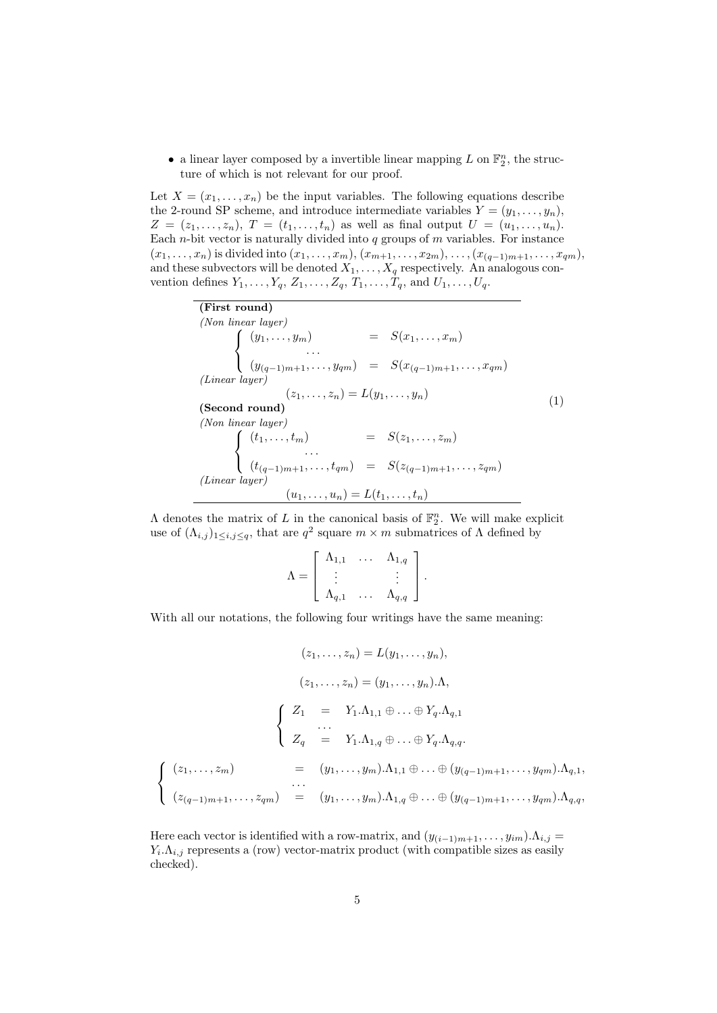• a linear layer composed by a invertible linear mapping  $L$  on  $\mathbb{F}_2^n$ , the structure of which is not relevant for our proof.

Let  $X = (x_1, \ldots, x_n)$  be the input variables. The following equations describe the 2-round SP scheme, and introduce intermediate variables  $Y = (y_1, \ldots, y_n)$ ,  $Z = (z_1, \ldots, z_n), T = (t_1, \ldots, t_n)$  as well as final output  $U = (u_1, \ldots, u_n).$ Each *n*-bit vector is naturally divided into  $q$  groups of  $m$  variables. For instance  $(x_1, \ldots, x_n)$  is divided into  $(x_1, \ldots, x_m)$ ,  $(x_{m+1}, \ldots, x_{2m})$ ,  $\ldots$ ,  $(x_{(q-1)m+1}, \ldots, x_{qm})$ , and these subvectors will be denoted  $X_1, \ldots, X_q$  respectively. An analogous convention defines  $Y_1, \ldots, Y_q, Z_1, \ldots, Z_q, T_1, \ldots, T_q$ , and  $U_1, \ldots, U_q$ .

> (First round) (Non linear layer)  $\sqrt{ }$  $\left\vert \right\vert$  $\mathcal{L}$  $(y_1, \ldots, y_m) = S(x_1, \ldots, x_m)$ . . .  $(y_{(q-1)m+1}, \ldots, y_{qm}) = S(x_{(q-1)m+1}, \ldots, x_{qm})$ (Linear layer)  $(z_1, \ldots, z_n) = L(y_1, \ldots, y_n)$ (Second round) (Non linear layer)  $\sqrt{ }$  $\int$  $\mathcal{L}$  $(t_1, \ldots, t_m)$  =  $S(z_1, \ldots, z_m)$ . . .  $(t_{(q-1)m+1}, \ldots, t_{qm}) = S(z_{(q-1)m+1}, \ldots, z_{qm})$ (Linear layer)  $(u_1, \ldots, u_n) = L(t_1, \ldots, t_n)$ (1)

 $\Lambda$  denotes the matrix of L in the canonical basis of  $\mathbb{F}_2^n$ . We will make explicit use of  $(\Lambda_{i,j})_{1 \leq i,j \leq q}$ , that are  $q^2$  square  $m \times m$  submatrices of  $\Lambda$  defined by

$$
\Lambda = \left[ \begin{array}{ccc} \Lambda_{1,1} & \ldots & \Lambda_{1,q} \\ \vdots & & \vdots \\ \Lambda_{q,1} & \ldots & \Lambda_{q,q} \end{array} \right].
$$

With all our notations, the following four writings have the same meaning:

$$
(z_1, ..., z_n) = L(y_1, ..., y_n),
$$
  
\n
$$
(z_1, ..., z_n) = (y_1, ..., y_n) \cdot \Lambda,
$$
  
\n
$$
\begin{cases}\nZ_1 = Y_1 \cdot \Lambda_{1,1} \oplus ... \oplus Y_q \cdot \Lambda_{q,1} \\
... \\
Z_q = Y_1 \cdot \Lambda_{1,q} \oplus ... \oplus Y_q \cdot \Lambda_{q,q}.\n\end{cases}
$$
  
\n
$$
\begin{cases}\n(z_1, ..., z_m) = (y_1, ..., y_m) \cdot \Lambda_{1,1} \oplus ... \oplus (y_{(q-1)m+1}, ..., y_{qm}) \cdot \Lambda_{q,1}, \\
... \\
(z_{(q-1)m+1}, ..., z_{qm}) = (y_1, ..., y_m) \cdot \Lambda_{1,q} \oplus ... \oplus (y_{(q-1)m+1}, ..., y_{qm}) \cdot \Lambda_{q,q},\n\end{cases}
$$

Here each vector is identified with a row-matrix, and  $(y_{(i-1)m+1}, \ldots, y_{im}).\Lambda_{i,j} =$  $Y_i.\Lambda_{i,j}$  represents a (row) vector-matrix product (with compatible sizes as easily checked).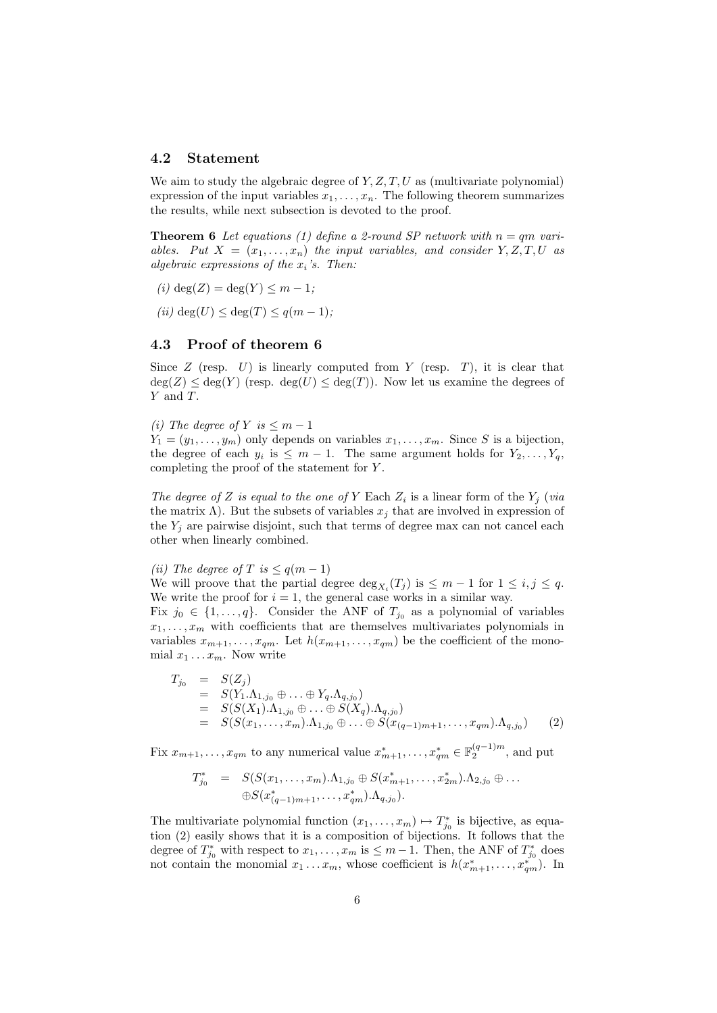#### 4.2 Statement

We aim to study the algebraic degree of  $Y, Z, T, U$  as (multivariate polynomial) expression of the input variables  $x_1, \ldots, x_n$ . The following theorem summarizes the results, while next subsection is devoted to the proof.

**Theorem 6** Let equations (1) define a 2-round SP network with  $n = qm$  variables. Put  $X = (x_1, \ldots, x_n)$  the input variables, and consider  $Y, Z, T, U$  as algebraic expressions of the  $x_i$ 's. Then:

- (i) deg(Z) = deg(Y)  $\leq m-1$ ;
- (ii)  $deg(U) \leq deg(T) \leq q(m-1)$ ;

### 4.3 Proof of theorem 6

Since  $Z$  (resp.  $U$ ) is linearly computed from  $Y$  (resp.  $T$ ), it is clear that  $deg(Z) \leq deg(Y)$  (resp.  $deg(U) \leq deg(T)$ ). Now let us examine the degrees of Y and T.

(i) The degree of Y is  $\leq m-1$ 

 $Y_1 = (y_1, \ldots, y_m)$  only depends on variables  $x_1, \ldots, x_m$ . Since S is a bijection, the degree of each  $y_i$  is  $\leq m-1$ . The same argument holds for  $Y_2, \ldots, Y_q$ , completing the proof of the statement for Y .

The degree of Z is equal to the one of Y Each  $Z_i$  is a linear form of the  $Y_j$  (via the matrix  $\Lambda$ ). But the subsets of variables  $x_j$  that are involved in expression of the  $Y_i$  are pairwise disjoint, such that terms of degree max can not cancel each other when linearly combined.

(ii) The degree of T is  $\leq q(m-1)$ 

We will proove that the partial degree  $\deg_{X_i}(T_j)$  is  $\leq m-1$  for  $1 \leq i, j \leq q$ . We write the proof for  $i = 1$ , the general case works in a similar way.

Fix  $j_0 \in \{1, ..., q\}$ . Consider the ANF of  $T_{j_0}$  as a polynomial of variables  $x_1, \ldots, x_m$  with coefficients that are themselves multivariates polynomials in variables  $x_{m+1}, \ldots, x_{qm}$ . Let  $h(x_{m+1}, \ldots, x_{qm})$  be the coefficient of the monomial  $x_1 \ldots x_m$ . Now write

$$
T_{j_0} = S(Z_j)
$$
  
=  $S(Y_1.\Lambda_{1,j_0} \oplus ... \oplus Y_q.\Lambda_{q,j_0})$   
=  $S(S(X_1).\Lambda_{1,j_0} \oplus ... \oplus S(X_q).\Lambda_{q,j_0})$   
=  $S(S(x_1,...,x_m).\Lambda_{1,j_0} \oplus ... \oplus S(x_{(q-1)m+1},...,x_{qm}).\Lambda_{q,j_0})$  (2)

Fix  $x_{m+1}, \ldots, x_{qm}$  to any numerical value  $x_{m+1}^*, \ldots, x_{qm}^* \in \mathbb{F}_2^{(q-1)m}$ , and put

$$
T_{j_0}^* = S(S(x_1, ..., x_m) \Lambda_{1,j_0} \oplus S(x_{m+1}^*, ..., x_{2m}^*) \Lambda_{2,j_0} \oplus ...
$$
  

$$
\oplus S(x_{(q-1)m+1}^*, ..., x_{qm}^*) \Lambda_{q,j_0}).
$$

The multivariate polynomial function  $(x_1, \ldots, x_m) \mapsto T_{j_0}^*$  is bijective, as equation (2) easily shows that it is a composition of bijections. It follows that the degree of  $T_{j_0}^*$  with respect to  $x_1, \ldots, x_m$  is  $\leq m-1$ . Then, the ANF of  $T_{j_0}^*$  does not contain the monomial  $x_1 \ldots x_m$ , whose coefficient is  $h(x_{m+1}^*, \ldots, x_{qm}^*)$ . In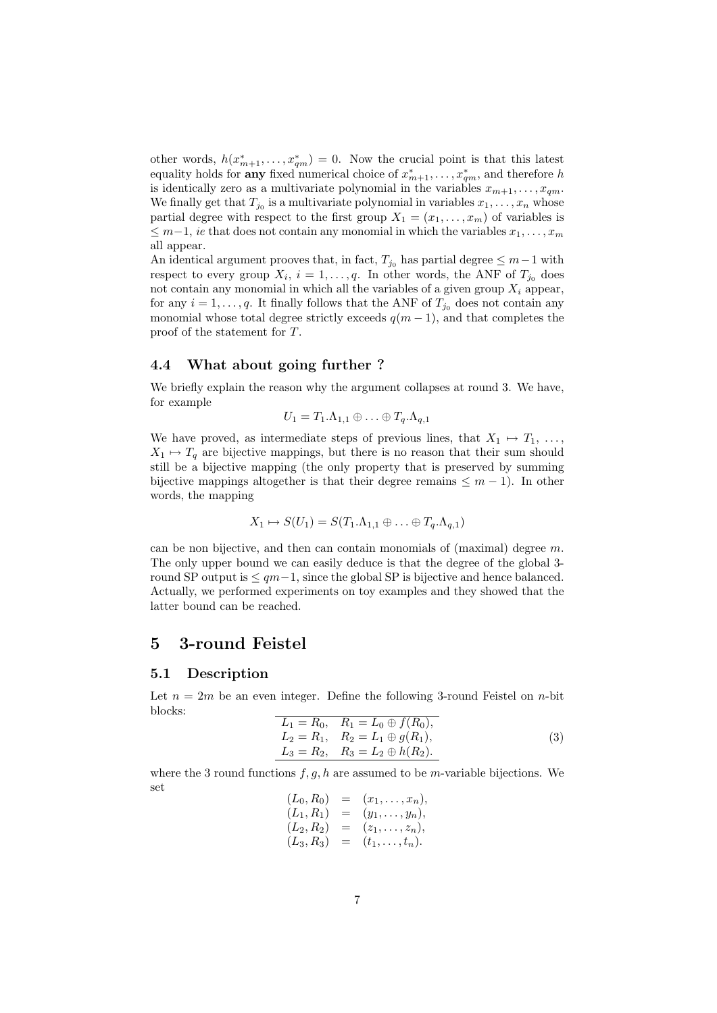other words,  $h(x_{m+1}^*,...,x_{qm}^*)=0$ . Now the crucial point is that this latest equality holds for **any** fixed numerical choice of  $x_{m+1}^*, \ldots, x_{qm}^*$ , and therefore h is identically zero as a multivariate polynomial in the variables  $x_{m+1}, \ldots, x_{qm}$ . We finally get that  $T_{j_0}$  is a multivariate polynomial in variables  $x_1, \ldots, x_n$  whose partial degree with respect to the first group  $X_1 = (x_1, \ldots, x_m)$  of variables is  $\leq m-1$ , *ie* that does not contain any monomial in which the variables  $x_1, \ldots, x_m$ all appear.

An identical argument prooves that, in fact,  $T_{j_0}$  has partial degree  $\leq m-1$  with respect to every group  $X_i$ ,  $i = 1, \ldots, q$ . In other words, the ANF of  $T_{j_0}$  does not contain any monomial in which all the variables of a given group  $X_i$  appear, for any  $i = 1, \ldots, q$ . It finally follows that the ANF of  $T_{j_0}$  does not contain any monomial whose total degree strictly exceeds  $q(m-1)$ , and that completes the proof of the statement for T.

### 4.4 What about going further ?

We briefly explain the reason why the argument collapses at round 3. We have, for example

$$
U_1 = T_1.\Lambda_{1,1} \oplus \ldots \oplus T_q.\Lambda_{q,1}
$$

We have proved, as intermediate steps of previous lines, that  $X_1 \mapsto T_1, \ldots$ ,  $X_1 \mapsto T_q$  are bijective mappings, but there is no reason that their sum should still be a bijective mapping (the only property that is preserved by summing bijective mappings altogether is that their degree remains  $\leq m-1$ ). In other words, the mapping

$$
X_1 \mapsto S(U_1) = S(T_1 \Lambda_{1,1} \oplus \ldots \oplus T_q \Lambda_{q,1})
$$

can be non bijective, and then can contain monomials of (maximal) degree  $m$ . The only upper bound we can easily deduce is that the degree of the global 3 round SP output is  $\leq qm-1$ , since the global SP is bijective and hence balanced. Actually, we performed experiments on toy examples and they showed that the latter bound can be reached.

# 5 3-round Feistel

#### 5.1 Description

Let  $n = 2m$  be an even integer. Define the following 3-round Feistel on *n*-bit blocks:

$$
L_1 = R_0, \quad R_1 = L_0 \oplus f(R_0),
$$
  
\n
$$
L_2 = R_1, \quad R_2 = L_1 \oplus g(R_1),
$$
  
\n
$$
L_3 = R_2, \quad R_3 = L_2 \oplus h(R_2).
$$
\n(3)

where the 3 round functions  $f, g, h$  are assumed to be *m*-variable bijections. We set  $(L_0, R_1)$ 

$$
(L_0, R_0) = (x_1, \ldots, x_n),(L_1, R_1) = (y_1, \ldots, y_n),(L_2, R_2) = (z_1, \ldots, z_n),(L_3, R_3) = (t_1, \ldots, t_n).
$$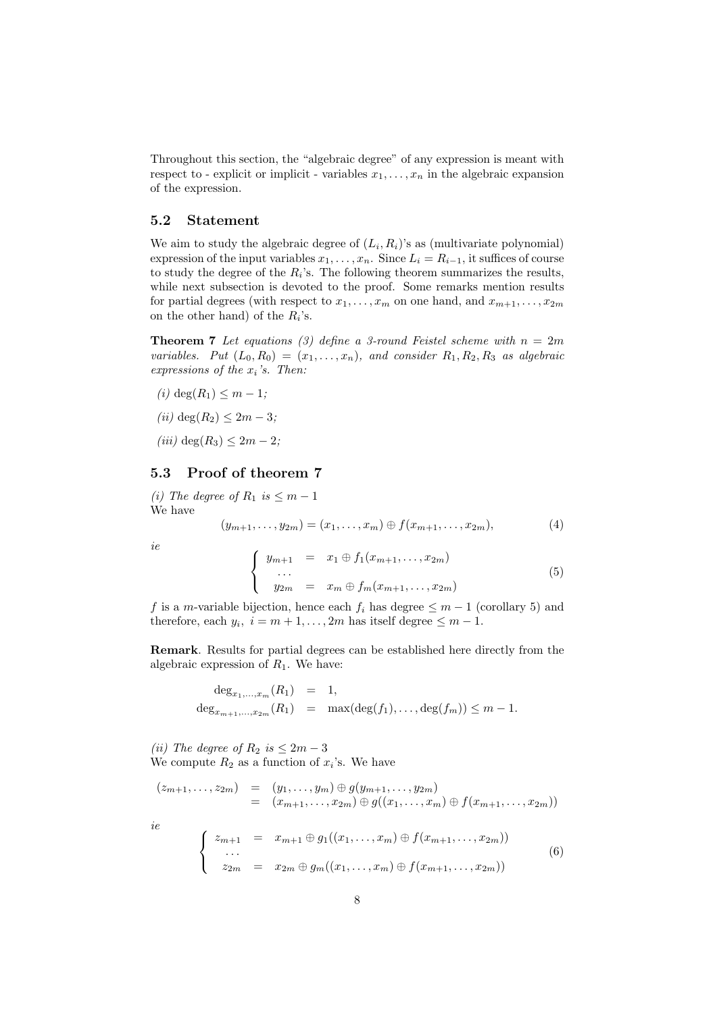Throughout this section, the "algebraic degree" of any expression is meant with respect to - explicit or implicit - variables  $x_1, \ldots, x_n$  in the algebraic expansion of the expression.

### 5.2 Statement

We aim to study the algebraic degree of  $(L_i, R_i)$ 's as (multivariate polynomial) expression of the input variables  $x_1, \ldots, x_n$ . Since  $L_i = R_{i-1}$ , it suffices of course to study the degree of the  $R_i$ 's. The following theorem summarizes the results, while next subsection is devoted to the proof. Some remarks mention results for partial degrees (with respect to  $x_1, \ldots, x_m$  on one hand, and  $x_{m+1}, \ldots, x_{2m}$ on the other hand) of the  $R_i$ 's.

**Theorem 7** Let equations (3) define a 3-round Feistel scheme with  $n = 2m$ variables. Put  $(L_0, R_0) = (x_1, \ldots, x_n)$ , and consider  $R_1, R_2, R_3$  as algebraic expressions of the  $x_i$ 's. Then:

- (*i*) deg( $R_1$ )  $\leq m-1$ ;
- (*ii*) deg( $R_2$ ) < 2m 3;
- (iii) deg( $R_3$ )  $\leq 2m-2$ ;

## 5.3 Proof of theorem 7

(i) The degree of  $R_1$  is  $\leq m-1$ We have

$$
(y_{m+1},\ldots,y_{2m})=(x_1,\ldots,x_m)\oplus f(x_{m+1},\ldots,x_{2m}),
$$
\n(4)

ie

$$
\begin{cases}\n y_{m+1} = x_1 \oplus f_1(x_{m+1}, \dots, x_{2m}) \\
 \dots \\
 y_{2m} = x_m \oplus f_m(x_{m+1}, \dots, x_{2m})\n\end{cases} (5)
$$

f is a m-variable bijection, hence each  $f_i$  has degree  $\leq m-1$  (corollary 5) and therefore, each  $y_i$ ,  $i = m + 1, ..., 2m$  has itself degree  $\leq m - 1$ .

Remark. Results for partial degrees can be established here directly from the algebraic expression of  $R_1$ . We have:

$$
\begin{array}{rcl}\n\deg_{x_1,\ldots,x_m}(R_1) & = & 1, \\
\deg_{x_{m+1},\ldots,x_{2m}}(R_1) & = & \max(\deg(f_1),\ldots,\deg(f_m)) \le m-1.\n\end{array}
$$

(ii) The degree of  $R_2$  is  $\leq 2m-3$ We compute  $R_2$  as a function of  $x_i$ 's. We have

$$
(z_{m+1},...,z_{2m}) = (y_1,...,y_m) \oplus g(y_{m+1},...,y_{2m})
$$
  
\n
$$
= (x_{m+1},...,x_{2m}) \oplus g((x_1,...,x_m) \oplus f(x_{m+1},...,x_{2m}))
$$
  
\n*ie*  
\n
$$
\begin{cases}\nz_{m+1} = x_{m+1} \oplus g_1((x_1,...,x_m) \oplus f(x_{m+1},...,x_{2m}))\\ \n\cdots\\ \nz_{2m} = x_{2m} \oplus g_m((x_1,...,x_m) \oplus f(x_{m+1},...,x_{2m}))\n\end{cases}
$$
(6)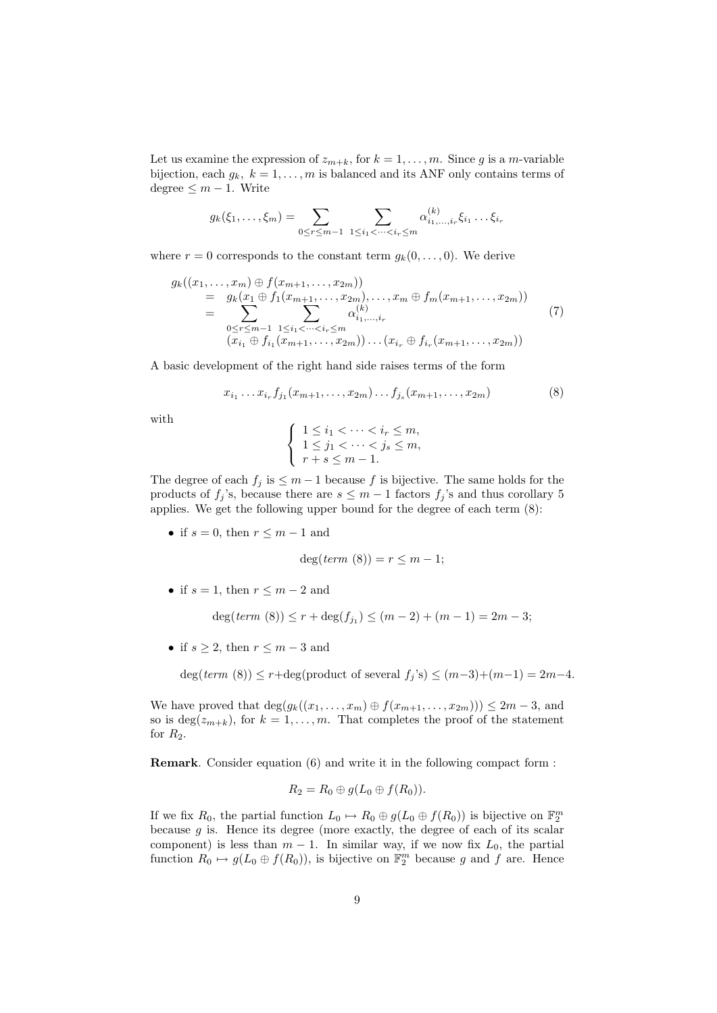Let us examine the expression of  $z_{m+k}$ , for  $k = 1, ..., m$ . Since g is a m-variable bijection, each  $g_k$ ,  $k = 1, \ldots, m$  is balanced and its ANF only contains terms of degree  $\leq m-1$ . Write

$$
g_k(\xi_1,\ldots,\xi_m) = \sum_{0 \le r \le m-1} \sum_{1 \le i_1 < \cdots < i_r \le m} \alpha_{i_1,\ldots,i_r}^{(k)} \xi_{i_1} \ldots \xi_{i_r}
$$

where  $r = 0$  corresponds to the constant term  $g_k(0, \ldots, 0)$ . We derive

$$
g_k((x_1, \ldots, x_m) \oplus f(x_{m+1}, \ldots, x_{2m}))
$$
  
=  $g_k(x_1 \oplus f_1(x_{m+1}, \ldots, x_{2m}), \ldots, x_m \oplus f_m(x_{m+1}, \ldots, x_{2m}))$   
=  $\sum_{\substack{0 \le r \le m-1 \\ (x_{i_1} \oplus f_{i_1}(x_{m+1}, \ldots, x_{2m}))}} \alpha_{i_1, \ldots, i_r}^{(k)}$   
 $(7)$ 

A basic development of the right hand side raises terms of the form

$$
x_{i_1} \dots x_{i_r} f_{j_1}(x_{m+1}, \dots, x_{2m}) \dots f_{j_s}(x_{m+1}, \dots, x_{2m}) \tag{8}
$$

with

$$
\begin{cases}\n1 \leq i_1 < \dots < i_r \leq m, \\
1 \leq j_1 < \dots < j_s \leq m, \\
r + s < m - 1.\n\end{cases}
$$

The degree of each  $f_i$  is  $\leq m-1$  because f is bijective. The same holds for the products of  $f_j$ 's, because there are  $s \leq m-1$  factors  $f_j$ 's and thus corollary 5 applies. We get the following upper bound for the degree of each term (8):

• if  $s = 0$ , then  $r \leq m - 1$  and

$$
\deg(\text{term }(8)) = r \leq m - 1;
$$

• if  $s = 1$ , then  $r \le m - 2$  and

 $deg(term (8)) \leq r + deg(f_{j_1}) \leq (m-2) + (m-1) = 2m-3;$ 

• if  $s \geq 2$ , then  $r \leq m-3$  and

deg(term (8)) ≤ r+deg(product of several  $f_j$ 's) ≤  $(m-3)+(m-1) = 2m-4$ .

We have proved that  $\deg(g_k((x_1, \ldots, x_m) \oplus f(x_{m+1}, \ldots, x_{2m}))) \leq 2m-3$ , and so is deg( $z_{m+k}$ ), for  $k = 1, ..., m$ . That completes the proof of the statement for  $R_2$ .

Remark. Consider equation (6) and write it in the following compact form :

$$
R_2 = R_0 \oplus g(L_0 \oplus f(R_0)).
$$

If we fix  $R_0$ , the partial function  $L_0 \mapsto R_0 \oplus g(L_0 \oplus f(R_0))$  is bijective on  $\mathbb{F}_2^m$ because  $g$  is. Hence its degree (more exactly, the degree of each of its scalar component) is less than  $m-1$ . In similar way, if we now fix  $L_0$ , the partial function  $R_0 \mapsto g(L_0 \oplus f(R_0))$ , is bijective on  $\mathbb{F}_2^m$  because g and f are. Hence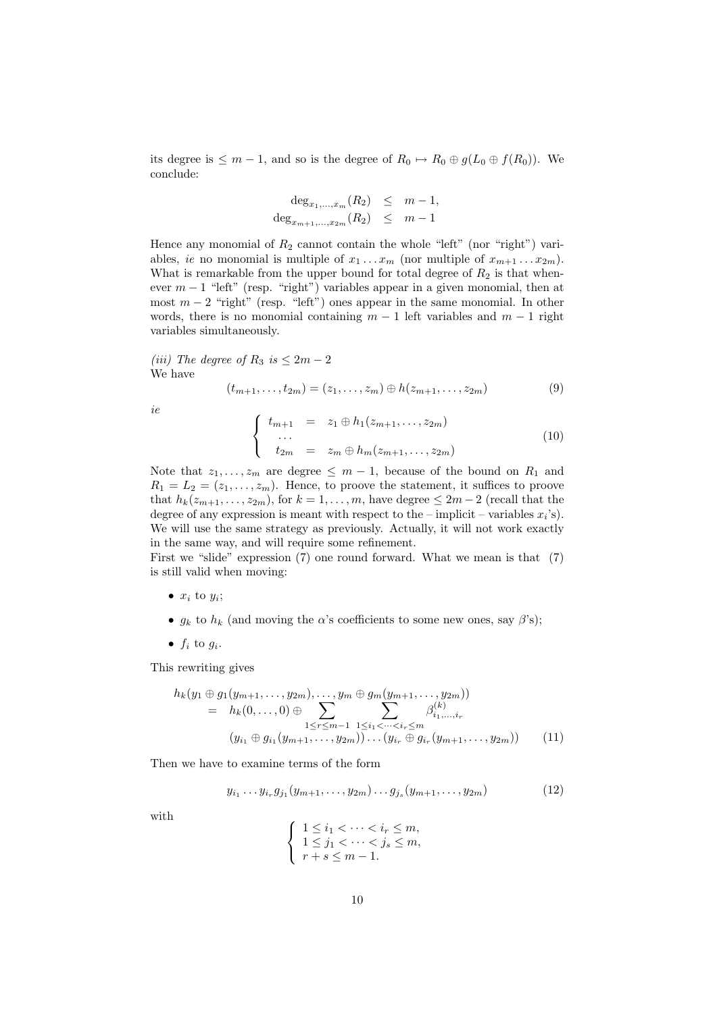its degree is  $\leq m-1$ , and so is the degree of  $R_0 \mapsto R_0 \oplus g(L_0 \oplus f(R_0))$ . We conclude:

$$
\deg_{x_1, \dots, x_m}(R_2) \leq m-1,
$$
  

$$
\deg_{x_{m+1}, \dots, x_{2m}}(R_2) \leq m-1
$$

Hence any monomial of  $R_2$  cannot contain the whole "left" (nor "right") variables, ie no monomial is multiple of  $x_1 \ldots x_m$  (nor multiple of  $x_{m+1} \ldots x_{2m}$ ). What is remarkable from the upper bound for total degree of  $R_2$  is that whenever  $m-1$  "left" (resp. "right") variables appear in a given monomial, then at most  $m-2$  "right" (resp. "left") ones appear in the same monomial. In other words, there is no monomial containing  $m-1$  left variables and  $m-1$  right variables simultaneously.

(iii) The degree of  $R_3$  is  $\leq 2m-2$ We have

$$
(t_{m+1},\ldots,t_{2m})=(z_1,\ldots,z_m)\oplus h(z_{m+1},\ldots,z_{2m})
$$
\n(9)

ie

$$
\begin{cases}\n t_{m+1} = z_1 \oplus h_1(z_{m+1}, \ldots, z_{2m}) \\
 \ldots \\
 t_{2m} = z_m \oplus h_m(z_{m+1}, \ldots, z_{2m})\n\end{cases} (10)
$$

Note that  $z_1, \ldots, z_m$  are degree  $\leq m-1$ , because of the bound on  $R_1$  and  $R_1 = L_2 = (z_1, \ldots, z_m)$ . Hence, to proove the statement, it suffices to proove that  $h_k(z_{m+1}, \ldots, z_{2m})$ , for  $k = 1, \ldots, m$ , have degree  $\leq 2m - 2$  (recall that the degree of any expression is meant with respect to the  $-$  implicit  $-$  variables  $x_i$ 's). We will use the same strategy as previously. Actually, it will not work exactly in the same way, and will require some refinement.

First we "slide" expression (7) one round forward. What we mean is that (7) is still valid when moving:

- $x_i$  to  $y_i$ ;
- $g_k$  to  $h_k$  (and moving the  $\alpha$ 's coefficients to some new ones, say  $\beta$ 's);
- $f_i$  to  $g_i$ .

This rewriting gives

$$
h_k(y_1 \oplus g_1(y_{m+1},\ldots,y_{2m}),\ldots,y_m \oplus g_m(y_{m+1},\ldots,y_{2m}))
$$
  
=  $h_k(0,\ldots,0) \oplus \sum_{1 \leq r \leq m-1} \sum_{1 \leq i_1 < \cdots < i_r \leq m} \beta_{i_1,\ldots,i_r}^{(k)}$   

$$
(y_{i_1} \oplus g_{i_1}(y_{m+1},\ldots,y_{2m}))\ldots(y_{i_r} \oplus g_{i_r}(y_{m+1},\ldots,y_{2m})) \qquad (11)
$$

Then we have to examine terms of the form

$$
y_{i_1} \dots y_{i_r} g_{j_1} (y_{m+1}, \dots, y_{2m}) \dots g_{j_s} (y_{m+1}, \dots, y_{2m}) \tag{12}
$$

with

$$
\begin{cases}\n1 \leq i_1 < \dots < i_r \leq m, \\
1 \leq j_1 < \dots < j_s \leq m, \\
r + s < m - 1.\n\end{cases}
$$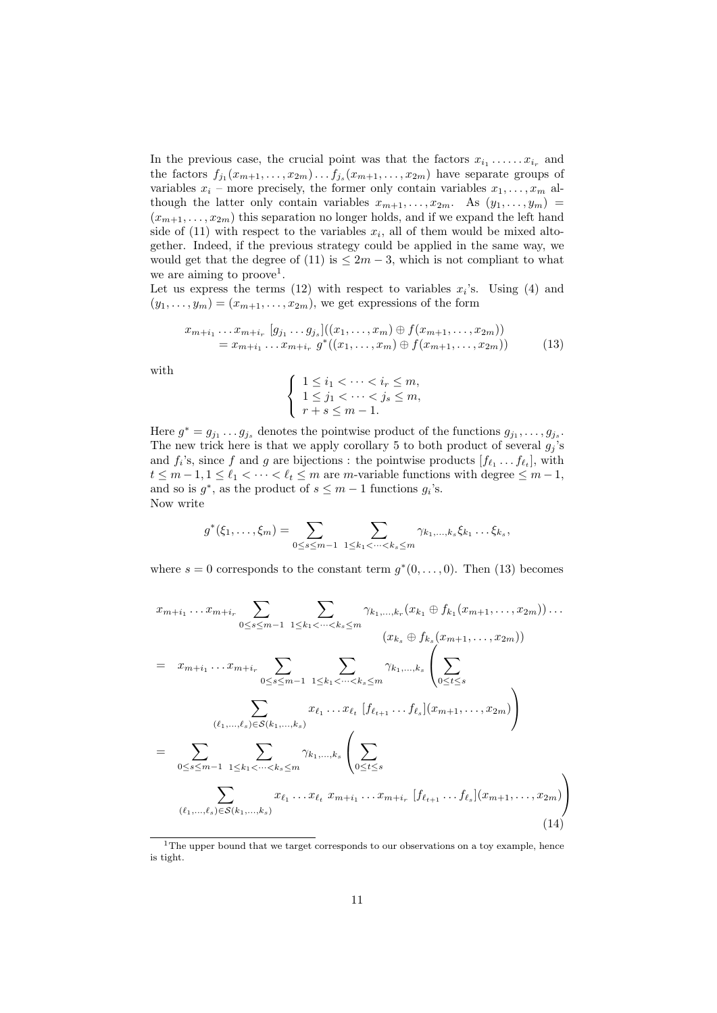In the previous case, the crucial point was that the factors  $x_{i_1} \ldots x_{i_r}$  and the factors  $f_{j_1}(x_{m+1},...,x_{2m})\ldots f_{j_s}(x_{m+1},...,x_{2m})$  have separate groups of variables  $x_i$  – more precisely, the former only contain variables  $x_1, \ldots, x_m$  although the latter only contain variables  $x_{m+1}, \ldots, x_{2m}$ . As  $(y_1, \ldots, y_m)$  =  $(x_{m+1}, \ldots, x_{2m})$  this separation no longer holds, and if we expand the left hand side of  $(11)$  with respect to the variables  $x_i$ , all of them would be mixed altogether. Indeed, if the previous strategy could be applied in the same way, we would get that the degree of (11) is  $\leq 2m-3$ , which is not compliant to what we are aiming to proove<sup>1</sup>.

Let us express the terms (12) with respect to variables  $x_i$ 's. Using (4) and  $(y_1, \ldots, y_m) = (x_{m+1}, \ldots, x_{2m})$ , we get expressions of the form

$$
x_{m+i_1} \dots x_{m+i_r} \left[ g_{j_1} \dots g_{j_s} \right] ((x_1, \dots, x_m) \oplus f(x_{m+1}, \dots, x_{2m}))
$$
  
=  $x_{m+i_1} \dots x_{m+i_r} g^* ((x_1, \dots, x_m) \oplus f(x_{m+1}, \dots, x_{2m}))$  (13)

with

$$
\begin{cases}\n1 \leq i_1 < \dots < i_r \leq m, \\
1 \leq j_1 < \dots < j_s \leq m, \\
r + s < m - 1.\n\end{cases}
$$

Here  $g^* = g_{j_1} \dots g_{j_s}$  denotes the pointwise product of the functions  $g_{j_1}, \dots, g_{j_s}$ . The new trick here is that we apply corollary 5 to both product of several  $g_j$ 's and  $f_i$ 's, since f and g are bijections : the pointwise products  $[f_{\ell_1} \ldots f_{\ell_t}],$  with  $t \leq m-1, 1 \leq \ell_1 < \cdots < \ell_t \leq m$  are m-variable functions with degree  $\leq m-1$ , and so is  $g^*$ , as the product of  $s \leq m-1$  functions  $g_i$ 's. Now write

$$
g^*(\xi_1,\ldots,\xi_m)=\sum_{0\leq s\leq m-1}\ \sum_{1\leq k_1<\cdots
$$

where  $s = 0$  corresponds to the constant term  $g^*(0, \ldots, 0)$ . Then (13) becomes

$$
x_{m+i_1} \dots x_{m+i_r} \sum_{0 \le s \le m-1} \sum_{1 \le k_1 < \dots < k_s \le m} \gamma_{k_1, \dots, k_r} (x_{k_1} \oplus f_{k_1} (x_{m+1}, \dots, x_{2m})) \dots
$$
  
\n
$$
(x_{k_s} \oplus f_{k_s} (x_{m+1}, \dots, x_{2m}))
$$
  
\n
$$
= x_{m+i_1} \dots x_{m+i_r} \sum_{0 \le s \le m-1} \sum_{1 \le k_1 < \dots < k_s \le m} \gamma_{k_1, \dots, k_s} \left( \sum_{0 \le t \le s} \sum_{0 \le t \le s} x_{\ell_1, \dots, \ell_s} \right)
$$
  
\n
$$
= \sum_{0 \le s \le m-1} \sum_{1 \le k_1 < \dots < k_s \le m} \gamma_{k_1, \dots, k_s} \left( \sum_{0 \le t \le s} \gamma_{k_1, \dots, k_s} \left( \sum_{0 \le t \le s} \gamma_{k_1, \dots, k_s} \right) \right)
$$
  
\n
$$
(e_1, \dots, e_s) \in S(k_1, \dots, k_s)
$$
  
\n
$$
x_{\ell_1} \dots x_{\ell_t} x_{m+i_1} \dots x_{m+i_r} [f_{\ell_{t+1}} \dots f_{\ell_s}] (x_{m+1}, \dots, x_{2m})
$$
  
\n
$$
(14)
$$

<sup>&</sup>lt;sup>1</sup>The upper bound that we target corresponds to our observations on a toy example, hence is tight.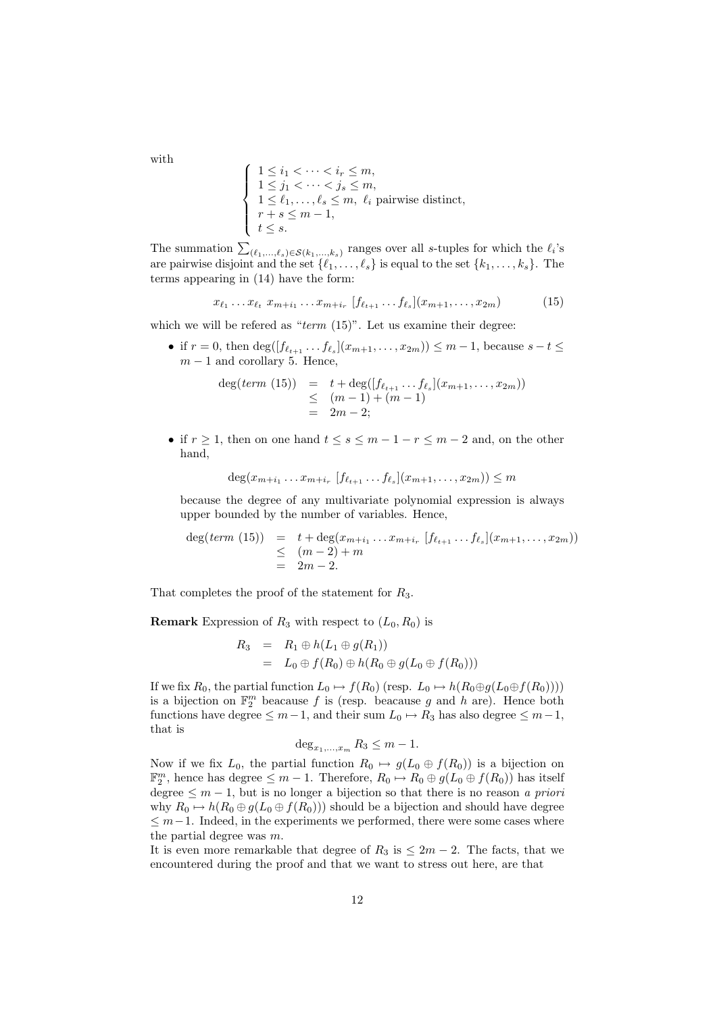with

$$
\begin{cases}\n1 \leq i_1 < \dots < i_r \leq m, \\
1 \leq j_1 < \dots < j_s \leq m, \\
1 \leq \ell_1, \dots, \ell_s \leq m, \quad \ell_i \text{ pairwise distinct}, \\
r + s \leq m - 1, \\
t \leq s.\n\end{cases}
$$

The summation  $\sum_{(\ell_1,\ldots,\ell_s)\in\mathcal{S}(k_1,\ldots,k_s)}$  ranges over all s-tuples for which the  $\ell_i$ 's are pairwise disjoint and the set  $\{\ell_1, \ldots, \ell_s\}$  is equal to the set  $\{k_1, \ldots, k_s\}$ . The terms appearing in (14) have the form:

$$
x_{\ell_1} \dots x_{\ell_t} \ x_{m+i_1} \dots x_{m+i_r} \ [f_{\ell_{t+1}} \dots f_{\ell_s}] (x_{m+1}, \dots, x_{2m}) \tag{15}
$$

which we will be refered as " $term (15)$ ". Let us examine their degree:

• if  $r = 0$ , then  $\deg([f_{\ell_{t+1}} \dots f_{\ell_s}](x_{m+1}, \dots, x_{2m})) \leq m-1$ , because  $s - t \leq$  $m-1$  and corollary 5. Hence,

$$
deg(term (15)) = t + deg([f_{\ell_{t+1}} \dots f_{\ell_s}](x_{m+1}, \dots, x_{2m}))
$$
  
\n
$$
\leq (m-1) + (m-1)
$$
  
\n
$$
= 2m-2;
$$

• if  $r \geq 1$ , then on one hand  $t \leq s \leq m-1-r \leq m-2$  and, on the other hand,

$$
\deg(x_{m+i_1} \dots x_{m+i_r} [f_{\ell_{t+1}} \dots f_{\ell_s}](x_{m+1}, \dots, x_{2m})) \leq m
$$

because the degree of any multivariate polynomial expression is always upper bounded by the number of variables. Hence,

$$
deg(term (15)) = t + deg(x_{m+i_1} \dots x_{m+i_r} [f_{\ell_{t+1}} \dots f_{\ell_s}](x_{m+1}, \dots, x_{2m}))
$$
  
\n
$$
\leq (m-2) + m
$$
  
\n
$$
= 2m - 2.
$$

That completes the proof of the statement for  $R_3$ .

**Remark** Expression of  $R_3$  with respect to  $(L_0, R_0)$  is

$$
R_3 = R_1 \oplus h(L_1 \oplus g(R_1))
$$
  
=  $L_0 \oplus f(R_0) \oplus h(R_0 \oplus g(L_0 \oplus f(R_0)))$ 

If we fix  $R_0$ , the partial function  $L_0 \mapsto f(R_0)$  (resp.  $L_0 \mapsto h(R_0 \oplus g(L_0 \oplus f(R_0))))$ is a bijection on  $\mathbb{F}_2^m$  beacause f is (resp. beacause g and h are). Hence both functions have degree  $\leq m-1$ , and their sum  $L_0 \mapsto R_3$  has also degree  $\leq m-1$ , that is

$$
\deg_{x_1,\ldots,x_m} R_3 \le m-1.
$$

Now if we fix  $L_0$ , the partial function  $R_0 \rightarrow g(L_0 \oplus f(R_0))$  is a bijection on  $\mathbb{F}_2^m$ , hence has degree  $\leq m-1$ . Therefore,  $R_0 \mapsto R_0 \oplus g(L_0 \oplus f(R_0))$  has itself degree  $\leq m-1$ , but is no longer a bijection so that there is no reason a priori why  $R_0 \mapsto h(R_0 \oplus g(L_0 \oplus f(R_0)))$  should be a bijection and should have degree  $\leq m-1$ . Indeed, in the experiments we performed, there were some cases where the partial degree was  $m$ .

It is even more remarkable that degree of  $R_3$  is  $\leq 2m-2$ . The facts, that we encountered during the proof and that we want to stress out here, are that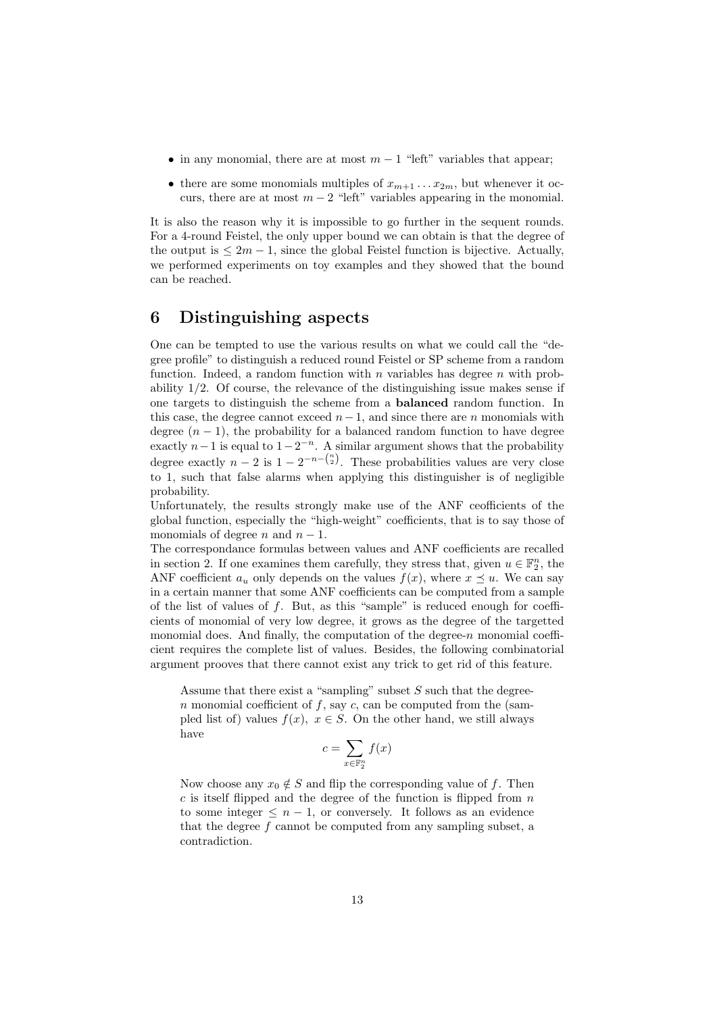- in any monomial, there are at most  $m-1$  "left" variables that appear;
- there are some monomials multiples of  $x_{m+1} \ldots x_{2m}$ , but whenever it occurs, there are at most  $m-2$  "left" variables appearing in the monomial.

It is also the reason why it is impossible to go further in the sequent rounds. For a 4-round Feistel, the only upper bound we can obtain is that the degree of the output is  $\leq 2m - 1$ , since the global Feistel function is bijective. Actually, we performed experiments on toy examples and they showed that the bound can be reached.

# 6 Distinguishing aspects

One can be tempted to use the various results on what we could call the "degree profile" to distinguish a reduced round Feistel or SP scheme from a random function. Indeed, a random function with  $n$  variables has degree  $n$  with probability 1/2. Of course, the relevance of the distinguishing issue makes sense if one targets to distinguish the scheme from a balanced random function. In this case, the degree cannot exceed  $n-1$ , and since there are n monomials with degree  $(n-1)$ , the probability for a balanced random function to have degree exactly  $n-1$  is equal to  $1-2^{-n}$ . A similar argument shows that the probability degree exactly  $n-2$  is  $1-2^{-n-{n \choose 2}}$ . These probabilities values are very close to 1, such that false alarms when applying this distinguisher is of negligible probability.

Unfortunately, the results strongly make use of the ANF ceofficients of the global function, especially the "high-weight" coefficients, that is to say those of monomials of degree *n* and  $n - 1$ .

The correspondance formulas between values and ANF coefficients are recalled in section 2. If one examines them carefully, they stress that, given  $u \in \mathbb{F}_2^n$ , the ANF coefficient  $a_u$  only depends on the values  $f(x)$ , where  $x \preceq u$ . We can say in a certain manner that some ANF coefficients can be computed from a sample of the list of values of  $f$ . But, as this "sample" is reduced enough for coefficients of monomial of very low degree, it grows as the degree of the targetted monomial does. And finally, the computation of the degree- $n$  monomial coefficient requires the complete list of values. Besides, the following combinatorial argument prooves that there cannot exist any trick to get rid of this feature.

Assume that there exist a "sampling" subset  $S$  such that the degreen monomial coefficient of f, say c, can be computed from the (sampled list of) values  $f(x)$ ,  $x \in S$ . On the other hand, we still always have

$$
c = \sum_{x \in \mathbb{F}_2^n} f(x)
$$

Now choose any  $x_0 \notin S$  and flip the corresponding value of f. Then  $c$  is itself flipped and the degree of the function is flipped from  $n$ to some integer  $\leq n-1$ , or conversely. It follows as an evidence that the degree f cannot be computed from any sampling subset, a contradiction.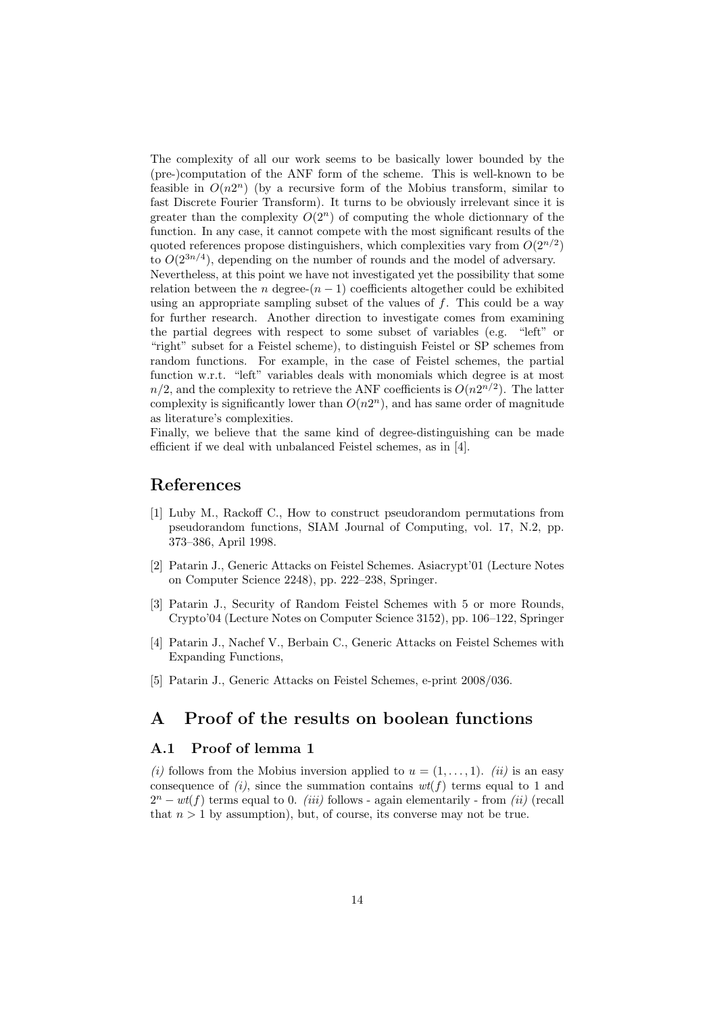The complexity of all our work seems to be basically lower bounded by the (pre-)computation of the ANF form of the scheme. This is well-known to be feasible in  $O(n2^n)$  (by a recursive form of the Mobius transform, similar to fast Discrete Fourier Transform). It turns to be obviously irrelevant since it is greater than the complexity  $O(2^n)$  of computing the whole dictionnary of the function. In any case, it cannot compete with the most significant results of the quoted references propose distinguishers, which complexities vary from  $O(2^{n/2})$ to  $O(2^{3n/4})$ , depending on the number of rounds and the model of adversary. Nevertheless, at this point we have not investigated yet the possibility that some relation between the n degree- $(n-1)$  coefficients altogether could be exhibited using an appropriate sampling subset of the values of  $f$ . This could be a way for further research. Another direction to investigate comes from examining the partial degrees with respect to some subset of variables (e.g. "left" or "right" subset for a Feistel scheme), to distinguish Feistel or SP schemes from random functions. For example, in the case of Feistel schemes, the partial function w.r.t. "left" variables deals with monomials which degree is at most  $n/2$ , and the complexity to retrieve the ANF coefficients is  $O(n2^{n/2})$ . The latter complexity is significantly lower than  $O(n2^n)$ , and has same order of magnitude as literature's complexities.

Finally, we believe that the same kind of degree-distinguishing can be made efficient if we deal with unbalanced Feistel schemes, as in [4].

# References

- [1] Luby M., Rackoff C., How to construct pseudorandom permutations from pseudorandom functions, SIAM Journal of Computing, vol. 17, N.2, pp. 373–386, April 1998.
- [2] Patarin J., Generic Attacks on Feistel Schemes. Asiacrypt'01 (Lecture Notes on Computer Science 2248), pp. 222–238, Springer.
- [3] Patarin J., Security of Random Feistel Schemes with 5 or more Rounds, Crypto'04 (Lecture Notes on Computer Science 3152), pp. 106–122, Springer
- [4] Patarin J., Nachef V., Berbain C., Generic Attacks on Feistel Schemes with Expanding Functions,
- [5] Patarin J., Generic Attacks on Feistel Schemes, e-print 2008/036.

# A Proof of the results on boolean functions

### A.1 Proof of lemma 1

(i) follows from the Mobius inversion applied to  $u = (1, \ldots, 1)$ . (ii) is an easy consequence of  $(i)$ , since the summation contains  $wt(f)$  terms equal to 1 and  $2^n - wt(f)$  terms equal to 0. *(iii)* follows - again elementarily - from *(ii)* (recall that  $n > 1$  by assumption), but, of course, its converse may not be true.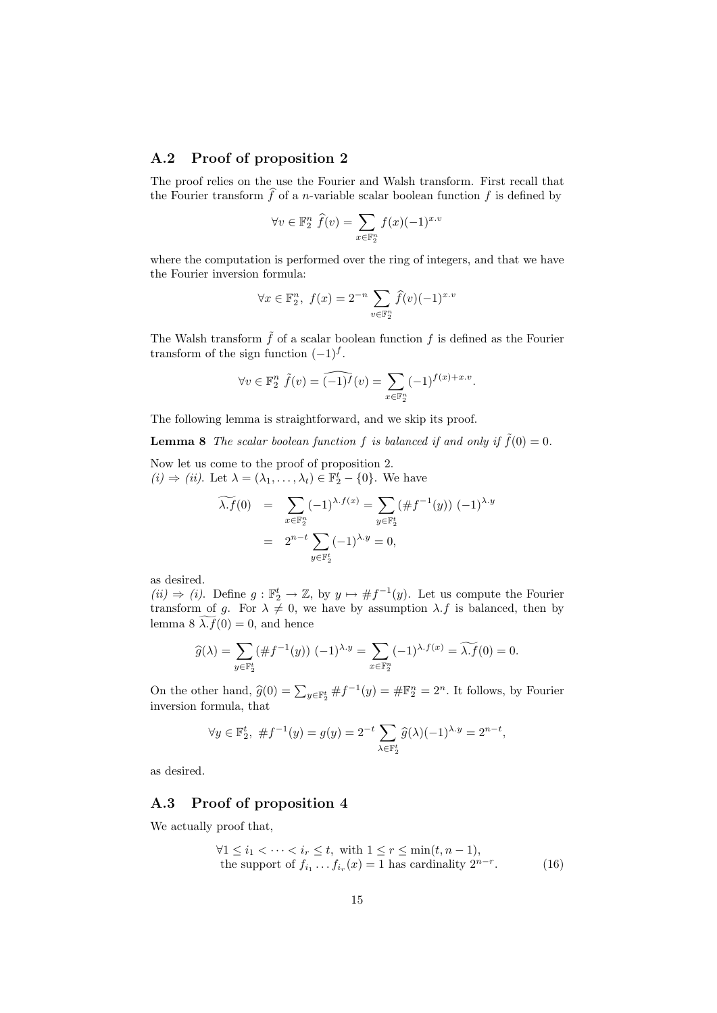### A.2 Proof of proposition 2

The proof relies on the use the Fourier and Walsh transform. First recall that the Fourier transform  $\widehat{f}$  of a *n*-variable scalar boolean function  $f$  is defined by

$$
\forall v \in \mathbb{F}_2^n \ \hat{f}(v) = \sum_{x \in \mathbb{F}_2^n} f(x)(-1)^{x.v}
$$

where the computation is performed over the ring of integers, and that we have the Fourier inversion formula:

$$
\forall x \in \mathbb{F}_2^n, \ f(x) = 2^{-n} \sum_{v \in \mathbb{F}_2^n} \widehat{f}(v) (-1)^{x.v}
$$

The Walsh transform  $\tilde{f}$  of a scalar boolean function f is defined as the Fourier transform of the sign function  $(-1)^f$ .

$$
\forall v \in \mathbb{F}_2^n \ \tilde{f}(v) = \widehat{(-1)^f}(v) = \sum_{x \in \mathbb{F}_2^n} (-1)^{f(x) + x.v}.
$$

The following lemma is straightforward, and we skip its proof.

**Lemma 8** The scalar boolean function f is balanced if and only if  $\tilde{f}(0) = 0$ .

Now let us come to the proof of proposition 2.  $(i) \Rightarrow (ii)$ . Let  $\lambda = (\lambda_1, \ldots, \lambda_t) \in \mathbb{F}_2^t - \{0\}$ . We have

$$
\widetilde{\lambda f}(0) = \sum_{x \in \mathbb{F}_2^n} (-1)^{\lambda \cdot f(x)} = \sum_{y \in \mathbb{F}_2^t} (\# f^{-1}(y)) (-1)^{\lambda \cdot y}
$$

$$
= 2^{n-t} \sum_{y \in \mathbb{F}_2^t} (-1)^{\lambda \cdot y} = 0,
$$

as desired.

 $(ii) \Rightarrow (i)$ . Define  $g : \mathbb{F}_2^t \to \mathbb{Z}$ , by  $y \mapsto \# f^{-1}(y)$ . Let us compute the Fourier transform of g. For  $\lambda \neq 0$ , we have by assumption  $\lambda.f$  is balanced, then by lemma 8  $\lambda f(0) = 0$ , and hence

$$
\widehat{g}(\lambda) = \sum_{y \in \mathbb{F}_2^t} (\# f^{-1}(y)) (-1)^{\lambda \cdot y} = \sum_{x \in \mathbb{F}_2^n} (-1)^{\lambda \cdot f(x)} = \widetilde{\lambda \cdot f}(0) = 0.
$$

On the other hand,  $\hat{g}(0) = \sum_{y \in \mathbb{F}_2^t} \# f^{-1}(y) = \# \mathbb{F}_2^n = 2^n$ . It follows, by Fourier inversion formula, that

$$
\forall y \in \mathbb{F}_2^t, \#f^{-1}(y) = g(y) = 2^{-t} \sum_{\lambda \in \mathbb{F}_2^t} \hat{g}(\lambda)(-1)^{\lambda \cdot y} = 2^{n-t},
$$

as desired.

### A.3 Proof of proposition 4

We actually proof that,

$$
\forall 1 \le i_1 < \dots < i_r \le t, \text{ with } 1 \le r \le \min(t, n - 1),
$$
  
the support of  $f_{i_1} \dots f_{i_r}(x) = 1$  has cardinality  $2^{n-r}$ . (16)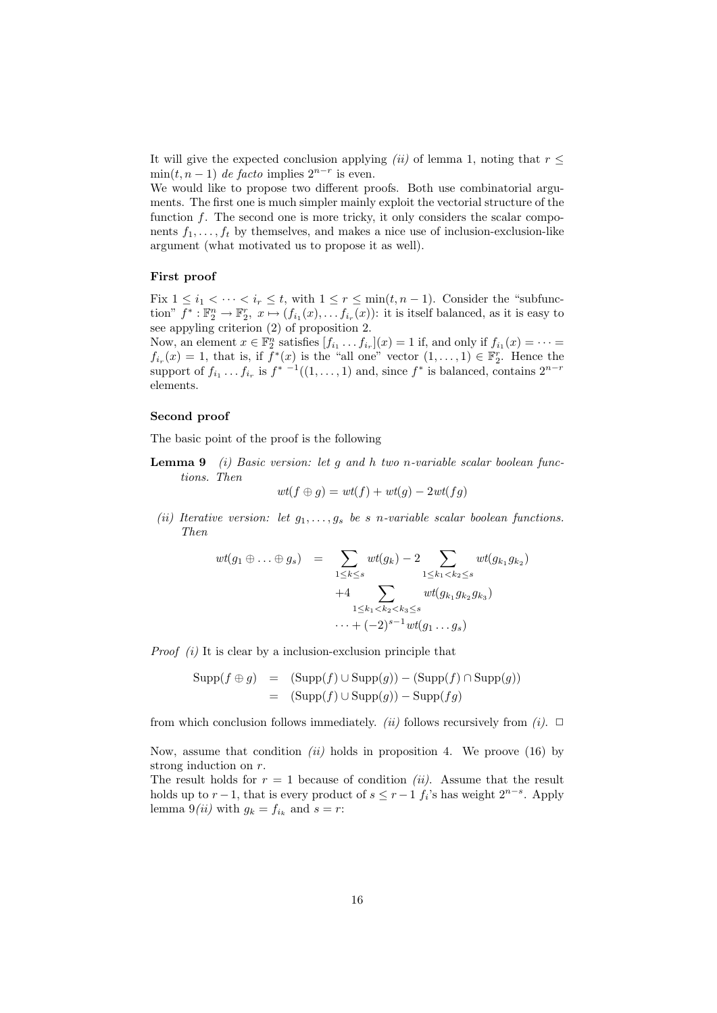It will give the expected conclusion applying (ii) of lemma 1, noting that  $r \leq$  $min(t, n-1)$  de facto implies  $2^{n-r}$  is even.

We would like to propose two different proofs. Both use combinatorial arguments. The first one is much simpler mainly exploit the vectorial structure of the function  $f$ . The second one is more tricky, it only considers the scalar components  $f_1, \ldots, f_t$  by themselves, and makes a nice use of inclusion-exclusion-like argument (what motivated us to propose it as well).

#### First proof

Fix  $1 \leq i_1 < \cdots < i_r \leq t$ , with  $1 \leq r \leq \min(t, n-1)$ . Consider the "subfunction"  $f^*: \mathbb{F}_2^n \to \mathbb{F}_2^n$ ,  $x \mapsto (f_{i_1}(x), \ldots, f_{i_r}(x))$ : it is itself balanced, as it is easy to see appyling criterion (2) of proposition 2.

Now, an element  $x \in \mathbb{F}_2^n$  satisfies  $[f_{i_1} \dots f_{i_r}](x) = 1$  if, and only if  $f_{i_1}(x) = \cdots =$  $f_{i_r}(x) = 1$ , that is, if  $\overline{f}^*(x)$  is the "all one" vector  $(1,\ldots,1) \in \mathbb{F}_2^r$ . Hence the support of  $f_{i_1} \dots f_{i_r}$  is  $f^{*-1}((1, \dots, 1)$  and, since  $f^*$  is balanced, contains  $2^{n-r}$ elements.

#### Second proof

The basic point of the proof is the following

**Lemma 9** (i) Basic version: let g and h two n-variable scalar boolean functions. Then

$$
wt(f \oplus g) = wt(f) + wt(g) - 2wt(fg)
$$

(ii) Iterative version: let  $g_1, \ldots, g_s$  be s n-variable scalar boolean functions. Then

$$
wt(g_1 \oplus \ldots \oplus g_s) = \sum_{1 \leq k \leq s} wt(g_k) - 2 \sum_{1 \leq k_1 < k_2 \leq s} wt(g_{k_1} g_{k_2})
$$
  
+4 
$$
\sum_{1 \leq k_1 < k_2 < k_3 \leq s} wt(g_{k_1} g_{k_2} g_{k_3})
$$
  

$$
\ldots + (-2)^{s-1} wt(g_1 \ldots g_s)
$$

*Proof*  $(i)$  It is clear by a inclusion-exclusion principle that

$$
Supp(f \oplus g) = (Supp(f) \cup Supp(g)) - (Supp(f) \cap Supp(g))
$$
  
= 
$$
(Supp(f) \cup Supp(g)) - Supp(fg)
$$

from which conclusion follows immediately. (ii) follows recursively from (i).  $\Box$ 

Now, assume that condition (ii) holds in proposition 4. We proove (16) by strong induction on r.

The result holds for  $r = 1$  because of condition *(ii)*. Assume that the result holds up to  $r-1$ , that is every product of  $s \leq r-1$   $f_i$ 's has weight  $2^{n-s}$ . Apply lemma  $9(ii)$  with  $g_k = f_{i_k}$  and  $s = r$ :